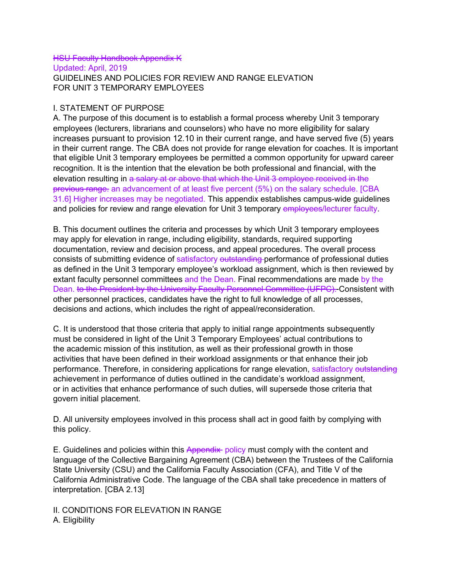#### **HSU Faculty Handbook Appendix K** Updated: April, 2019 GUIDELINES AND POLICIES FOR REVIEW AND RANGE ELEVATION FOR UNIT 3 TEMPORARY EMPLOYEES

## I. STATEMENT OF PURPOSE

A. The purpose of this document is to establish a formal process whereby Unit 3 temporary employees (lecturers, librarians and counselors) who have no more eligibility for salary increases pursuant to provision 12.10 in their current range, and have served five (5) years in their current range. The CBA does not provide for range elevation for coaches. It is important that eligible Unit 3 temporary employees be permitted a common opportunity for upward career recognition. It is the intention that the elevation be both professional and financial, with the elevation resulting in a salary at or above that which the Unit 3 employee received in the previous range. an advancement of at least five percent (5%) on the salary schedule. [CBA 31.6] Higher increases may be negotiated. This appendix establishes campus-wide guidelines and policies for review and range elevation for Unit 3 temporary employees/lecturer faculty.

B. This document outlines the criteria and processes by which Unit 3 temporary employees may apply for elevation in range, including eligibility, standards, required supporting documentation, review and decision process, and appeal procedures. The overall process consists of submitting evidence of satisfactory outstanding performance of professional duties as defined in the Unit 3 temporary employee's workload assignment, which is then reviewed by extant faculty personnel committees and the Dean. Final recommendations are made by the Dean. to the President by the University Faculty Personnel Committee (UFPC). Consistent with other personnel practices, candidates have the right to full knowledge of all processes, decisions and actions, which includes the right of appeal/reconsideration.

C. It is understood that those criteria that apply to initial range appointments subsequently must be considered in light of the Unit 3 Temporary Employees' actual contributions to the academic mission of this institution, as well as their professional growth in those activities that have been defined in their workload assignments or that enhance their job performance. Therefore, in considering applications for range elevation, satisfactory outstanding achievement in performance of duties outlined in the candidate's workload assignment, or in activities that enhance performance of such duties, will supersede those criteria that govern initial placement.

D. All university employees involved in this process shall act in good faith by complying with this policy.

E. Guidelines and policies within this Appendix policy must comply with the content and language of the Collective Bargaining Agreement (CBA) between the Trustees of the California State University (CSU) and the California Faculty Association (CFA), and Title V of the California Administrative Code. The language of the CBA shall take precedence in matters of interpretation. [CBA 2.13]

II. CONDITIONS FOR ELEVATION IN RANGE A. Eligibility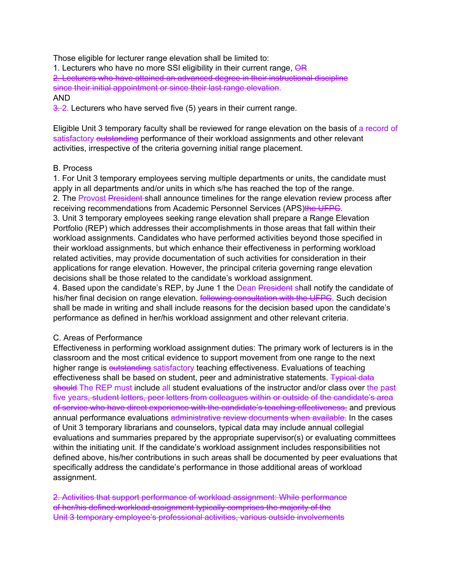Those eligible for lecturer range elevation shall be limited to:

1. Lecturers who have no more SSI eligibility in their current range, OR

2. Lecturers who have attained an advanced degree in their instructional discipline since their initial appointment or since their last range elevation. AND

 $\frac{3}{2}$ . Lecturers who have served five (5) years in their current range.

Eligible Unit 3 temporary faculty shall be reviewed for range elevation on the basis of a record of satisfactory outstanding performance of their workload assignments and other relevant activities, irrespective of the criteria governing initial range placement.

### B. Process

1. For Unit 3 temporary employees serving multiple departments or units, the candidate must apply in all departments and/or units in which s/he has reached the top of the range. 2. The Provost President shall announce timelines for the range elevation review process after receiving recommendations from Academic Personnel Services (APS)the UFPC. 3. Unit 3 temporary employees seeking range elevation shall prepare a Range Elevation Portfolio (REP) which addresses their accomplishments in those areas that fall within their workload assignments. Candidates who have performed activities beyond those specified in their workload assignments, but which enhance their effectiveness in performing workload related activities, may provide documentation of such activities for consideration in their applications for range elevation. However, the principal criteria governing range elevation decisions shall be those related to the candidate's workload assignment.

4. Based upon the candidate's REP, by June 1 the Dean President shall notify the candidate of his/her final decision on range elevation. **Following consultation with the UFPC**. Such decision shall be made in writing and shall include reasons for the decision based upon the candidate's performance as defined in her/his workload assignment and other relevant criteria.

### C. Areas of Performance

Effectiveness in performing workload assignment duties: The primary work of lecturers is in the classroom and the most critical evidence to support movement from one range to the next higher range is outstanding satisfactory teaching effectiveness. Evaluations of teaching effectiveness shall be based on student, peer and administrative statements. Typical data should The REP must include all student evaluations of the instructor and/or class over the past five years<del>, student letters, peer letters from colleagues within or outside of the candidate's area</del> of service who have direct experience with the candidate's teaching effectiveness, and previous annual performance evaluations administrative review documents when available. In the cases of Unit 3 temporary librarians and counselors, typical data may include annual collegial evaluations and summaries prepared by the appropriate supervisor(s) or evaluating committees within the initiating unit. If the candidate's workload assignment includes responsibilities not defined above, his/her contributions in such areas shall be documented by peer evaluations that specifically address the candidate's performance in those additional areas of workload assignment.

2. Activities that support performance of workload assignment: While performance of her/his defined workload assignment typically comprises the majority of the Unit 3 temporary employee's professional activities, various outside involvements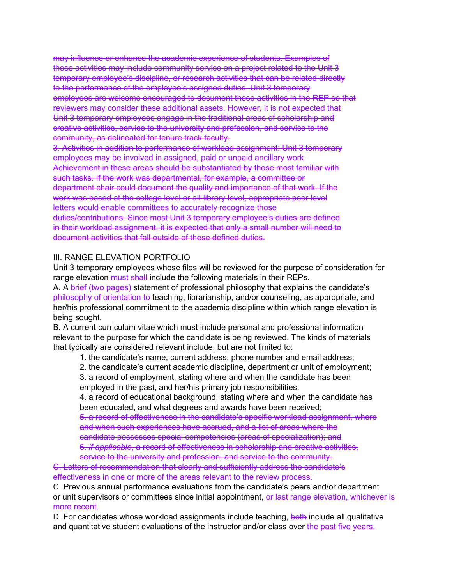may influence or enhance the academic experience of students. Examples of these activities may include community service on a project related to the Unit 3 temporary employee's discipline, or research activities that can be related directly to the performance of the employee's assigned duties. Unit 3 temporary employees are welcome encouraged to document these activities in the REP so that reviewers may consider these additional assets. However, it is not expected that Unit 3 temporary employees engage in the traditional areas of scholarship and creative activities, service to the university and profession, and service to the community, as delineated for tenure track faculty.

3. Activities in addition to performance of workload assignment: Unit 3 temporary employees may be involved in assigned, paid or unpaid ancillary work. Achievement in these areas should be substantiated by those most familiar with such tasks. If the work was departmental, for example, a committee or department chair could document the quality and importance of that work. If the work was based at the college level or all-library level, appropriate peer level letters would enable committees to accurately recognize those duties/contributions. Since most Unit 3 temporary employee's duties are defined in their workload assignment, it is expected that only a small number will need to document activities that fall outside of these defined duties.

## III. RANGE ELEVATION PORTFOLIO

Unit 3 temporary employees whose files will be reviewed for the purpose of consideration for range elevation must shall include the following materials in their REPs.

A. A brief (two pages) statement of professional philosophy that explains the candidate's philosophy of orientation to teaching, librarianship, and/or counseling, as appropriate, and her/his professional commitment to the academic discipline within which range elevation is being sought.

B. A current curriculum vitae which must include personal and professional information relevant to the purpose for which the candidate is being reviewed. The kinds of materials that typically are considered relevant include, but are not limited to:

1. the candidate's name, current address, phone number and email address;

2. the candidate's current academic discipline, department or unit of employment;

3. a record of employment, stating where and when the candidate has been employed in the past, and her/his primary job responsibilities;

4. a record of educational background, stating where and when the candidate has been educated, and what degrees and awards have been received;

5. a record of effectiveness in the candidate's specific workload assignment, where and when such experiences have accrued, and a list of areas where the candidate possesses special competencies (areas of specialization); and

6. *if applicable*, a record of effectiveness in scholarship and creative activities, service to the university and profession, and service to the community.

C. Letters of recommendation that clearly and sufficiently address the candidate's effectiveness in one or more of the areas relevant to the review process.

C. Previous annual performance evaluations from the candidate's peers and/or department or unit supervisors or committees since initial appointment, or last range elevation, whichever is more recent.

D. For candidates whose workload assignments include teaching, both include all qualitative and quantitative student evaluations of the instructor and/or class over the past five years.